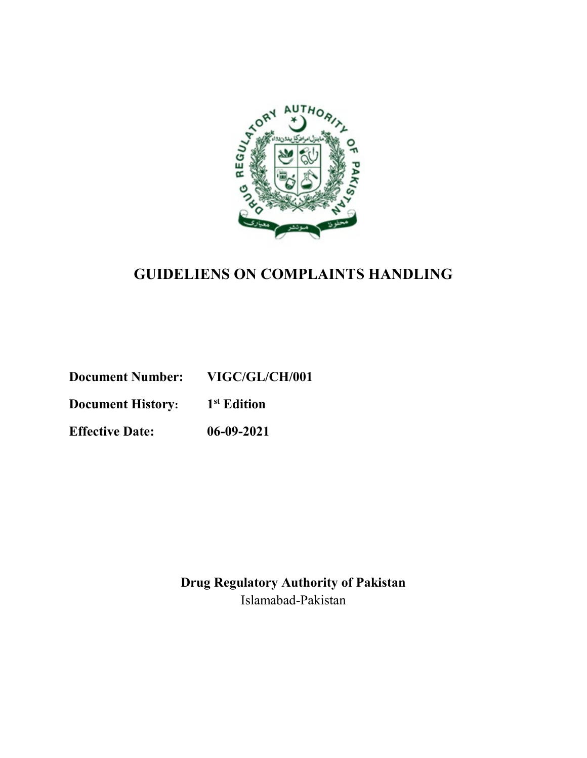

### **GUIDELIENS ON COMPLAINTS HANDLING**

**Document Number: VIGC/GL/CH/001**

**Document History: 1st Edition**

**Effective Date: 06-09-2021**

**Drug Regulatory Authority of Pakistan** Islamabad-Pakistan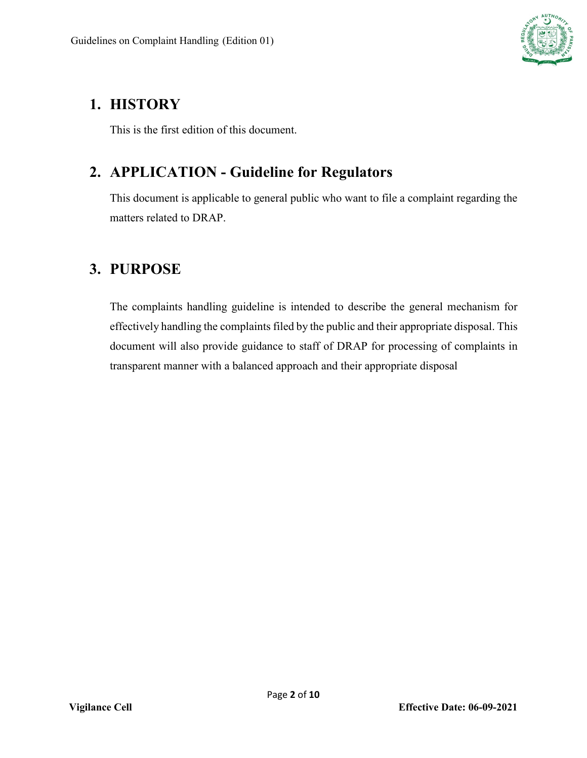

# <span id="page-1-0"></span>**1. HISTORY**

This is the first edition of this document.

# <span id="page-1-1"></span>**2. APPLICATION - Guideline for Regulators**

This document is applicable to general public who want to file a complaint regarding the matters related to DRAP.

# <span id="page-1-2"></span>**3. PURPOSE**

The complaints handling guideline is intended to describe the general mechanism for effectively handling the complaints filed by the public and their appropriate disposal. This document will also provide guidance to staff of DRAP for processing of complaints in transparent manner with a balanced approach and their appropriate disposal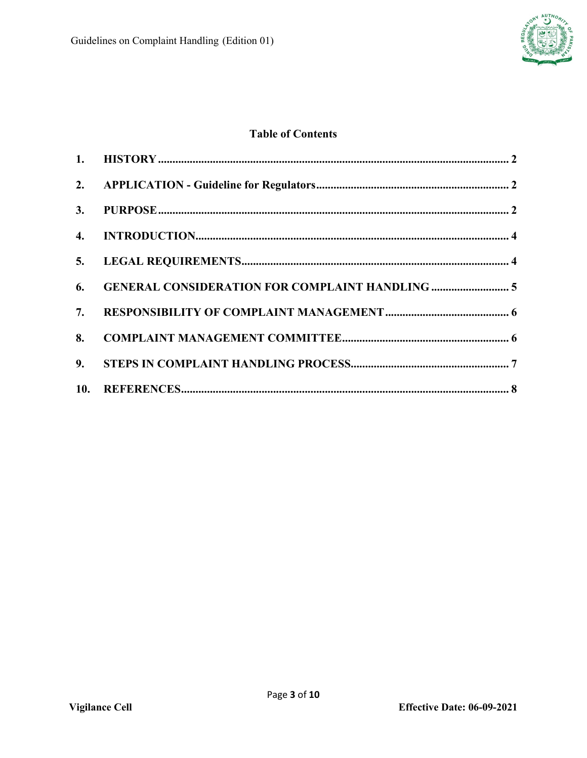

#### **Table of Contents**

|    | 6. GENERAL CONSIDERATION FOR COMPLAINT HANDLING  5 |  |
|----|----------------------------------------------------|--|
|    |                                                    |  |
| 8. |                                                    |  |
|    |                                                    |  |
|    |                                                    |  |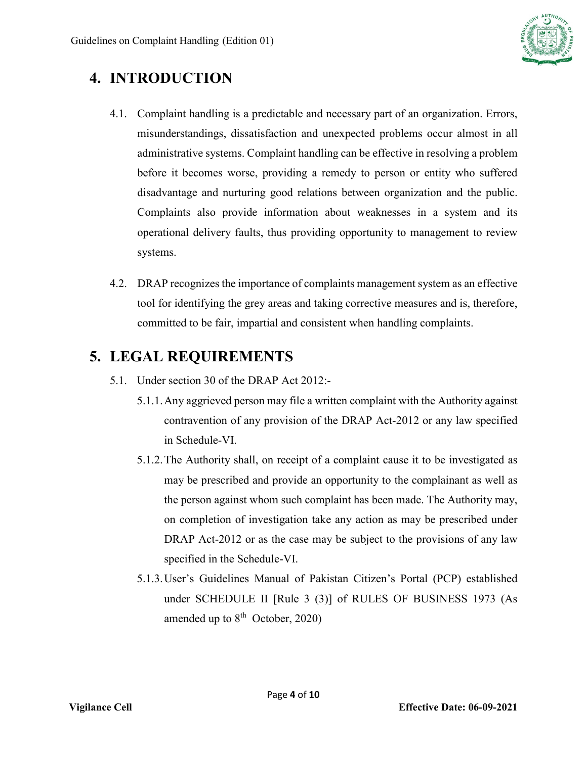

# <span id="page-3-0"></span>**4. INTRODUCTION**

- 4.1. Complaint handling is a predictable and necessary part of an organization. Errors, misunderstandings, dissatisfaction and unexpected problems occur almost in all administrative systems. Complaint handling can be effective in resolving a problem before it becomes worse, providing a remedy to person or entity who suffered disadvantage and nurturing good relations between organization and the public. Complaints also provide information about weaknesses in a system and its operational delivery faults, thus providing opportunity to management to review systems.
- 4.2. DRAP recognizes the importance of complaints management system as an effective tool for identifying the grey areas and taking corrective measures and is, therefore, committed to be fair, impartial and consistent when handling complaints.

# <span id="page-3-1"></span>**5. LEGAL REQUIREMENTS**

- 5.1. Under section 30 of the DRAP Act 2012:-
	- 5.1.1.Any aggrieved person may file a written complaint with the Authority against contravention of any provision of the DRAP Act-2012 or any law specified in Schedule-VI.
	- 5.1.2.The Authority shall, on receipt of a complaint cause it to be investigated as may be prescribed and provide an opportunity to the complainant as well as the person against whom such complaint has been made. The Authority may, on completion of investigation take any action as may be prescribed under DRAP Act-2012 or as the case may be subject to the provisions of any law specified in the Schedule-VI.
	- 5.1.3.User's Guidelines Manual of Pakistan Citizen's Portal (PCP) established under SCHEDULE II [Rule 3 (3)] of RULES OF BUSINESS 1973 (As amended up to  $8<sup>th</sup>$  October, 2020)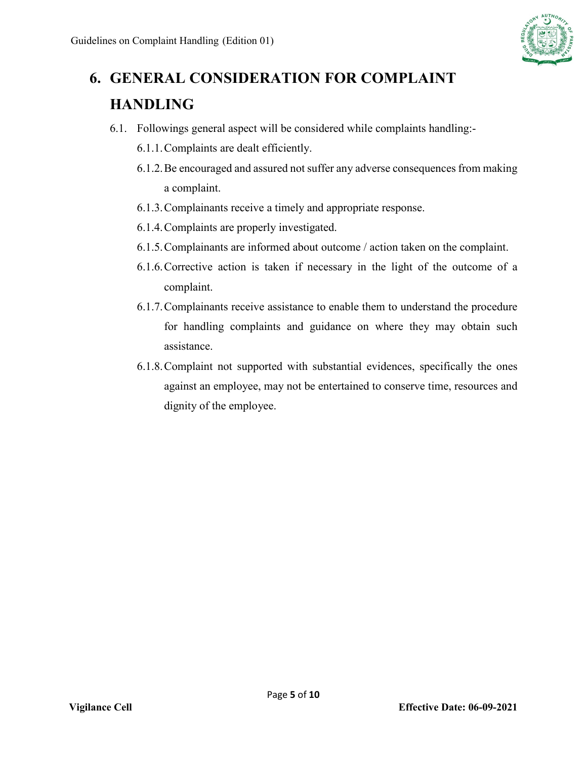

# <span id="page-4-0"></span>**6. GENERAL CONSIDERATION FOR COMPLAINT HANDLING**

- 6.1. Followings general aspect will be considered while complaints handling:-
	- 6.1.1.Complaints are dealt efficiently.
	- 6.1.2.Be encouraged and assured not suffer any adverse consequences from making a complaint.
	- 6.1.3.Complainants receive a timely and appropriate response.
	- 6.1.4.Complaints are properly investigated.
	- 6.1.5.Complainants are informed about outcome / action taken on the complaint.
	- 6.1.6.Corrective action is taken if necessary in the light of the outcome of a complaint.
	- 6.1.7.Complainants receive assistance to enable them to understand the procedure for handling complaints and guidance on where they may obtain such assistance.
	- 6.1.8.Complaint not supported with substantial evidences, specifically the ones against an employee, may not be entertained to conserve time, resources and dignity of the employee.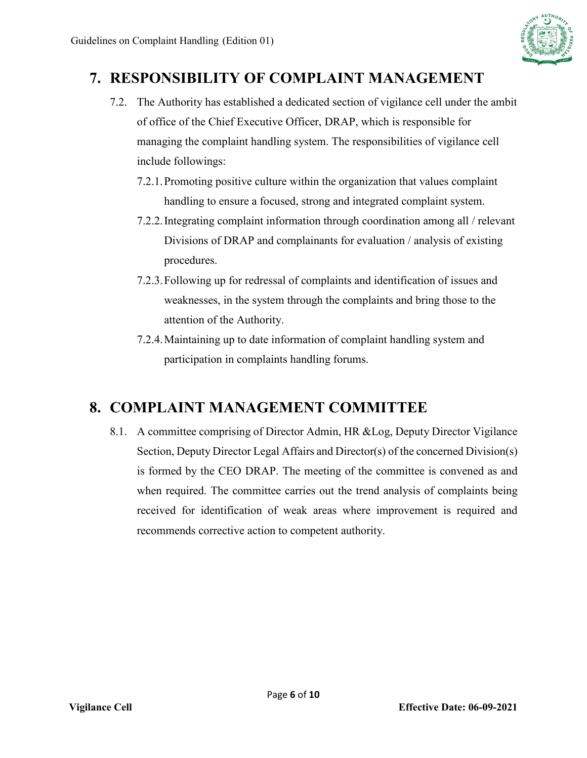

### <span id="page-5-0"></span>**7. RESPONSIBILITY OF COMPLAINT MANAGEMENT**

- 7.2. The Authority has established a dedicated section of vigilance cell under the ambit of office of the Chief Executive Officer, DRAP, which is responsible for managing the complaint handling system. The responsibilities of vigilance cell include followings:
	- 7.2.1.Promoting positive culture within the organization that values complaint handling to ensure a focused, strong and integrated complaint system.
	- 7.2.2.Integrating complaint information through coordination among all / relevant Divisions of DRAP and complainants for evaluation / analysis of existing procedures.
	- 7.2.3.Following up for redressal of complaints and identification of issues and weaknesses, in the system through the complaints and bring those to the attention of the Authority.
	- 7.2.4.Maintaining up to date information of complaint handling system and participation in complaints handling forums.

# <span id="page-5-1"></span>**8. COMPLAINT MANAGEMENT COMMITTEE**

8.1. A committee comprising of Director Admin, HR &Log, Deputy Director Vigilance Section, Deputy Director Legal Affairs and Director(s) of the concerned Division(s) is formed by the CEO DRAP. The meeting of the committee is convened as and when required. The committee carries out the trend analysis of complaints being received for identification of weak areas where improvement is required and recommends corrective action to competent authority.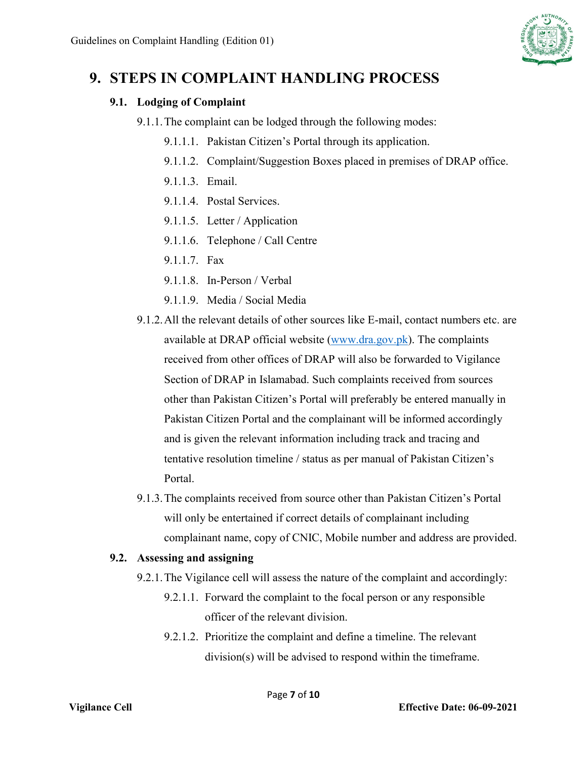

### <span id="page-6-0"></span>**9. STEPS IN COMPLAINT HANDLING PROCESS**

#### **9.1. Lodging of Complaint**

- 9.1.1.The complaint can be lodged through the following modes:
	- 9.1.1.1. Pakistan Citizen's Portal through its application.
	- 9.1.1.2. Complaint/Suggestion Boxes placed in premises of DRAP office.
	- 9.1.1.3. Email.
	- 9.1.1.4. Postal Services.
	- 9.1.1.5. Letter / Application
	- 9.1.1.6. Telephone / Call Centre
	- 9.1.1.7 Fax
	- 9.1.1.8. In-Person / Verbal
	- 9.1.1.9. Media / Social Media
- 9.1.2.All the relevant details of other sources like E-mail, contact numbers etc. are available at DRAP official website [\(www.dra.gov.pk\)](http://www.dra.gov.pk/). The complaints received from other offices of DRAP will also be forwarded to Vigilance Section of DRAP in Islamabad. Such complaints received from sources other than Pakistan Citizen's Portal will preferably be entered manually in Pakistan Citizen Portal and the complainant will be informed accordingly and is given the relevant information including track and tracing and tentative resolution timeline / status as per manual of Pakistan Citizen's Portal.
- 9.1.3.The complaints received from source other than Pakistan Citizen's Portal will only be entertained if correct details of complainant including complainant name, copy of CNIC, Mobile number and address are provided.

#### **9.2. Assessing and assigning**

- 9.2.1.The Vigilance cell will assess the nature of the complaint and accordingly:
	- 9.2.1.1. Forward the complaint to the focal person or any responsible officer of the relevant division.
	- 9.2.1.2. Prioritize the complaint and define a timeline. The relevant division(s) will be advised to respond within the timeframe.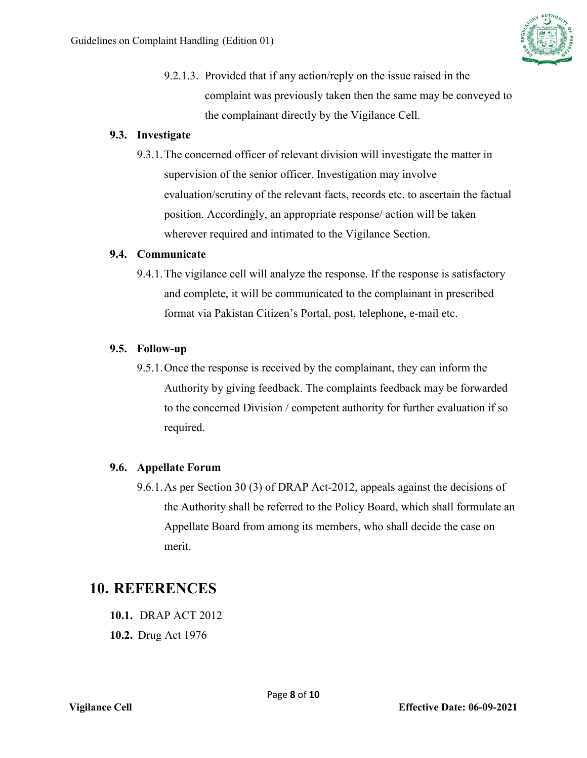

9.2.1.3. Provided that if any action/reply on the issue raised in the complaint was previously taken then the same may be conveyed to the complainant directly by the Vigilance Cell.

#### **9.3. Investigate**

9.3.1.The concerned officer of relevant division will investigate the matter in supervision of the senior officer. Investigation may involve evaluation/scrutiny of the relevant facts, records etc. to ascertain the factual position. Accordingly, an appropriate response/ action will be taken wherever required and intimated to the Vigilance Section.

#### **9.4. Communicate**

9.4.1.The vigilance cell will analyze the response. If the response is satisfactory and complete, it will be communicated to the complainant in prescribed format via Pakistan Citizen's Portal, post, telephone, e-mail etc.

#### **9.5. Follow-up**

9.5.1.Once the response is received by the complainant, they can inform the Authority by giving feedback. The complaints feedback may be forwarded to the concerned Division / competent authority for further evaluation if so required.

#### **9.6. Appellate Forum**

9.6.1.As per Section 30 (3) of DRAP Act-2012, appeals against the decisions of the Authority shall be referred to the Policy Board, which shall formulate an Appellate Board from among its members, who shall decide the case on merit.

### <span id="page-7-0"></span>**10. REFERENCES**

- **10.1.** DRAP ACT 2012
- **10.2.** Drug Act 1976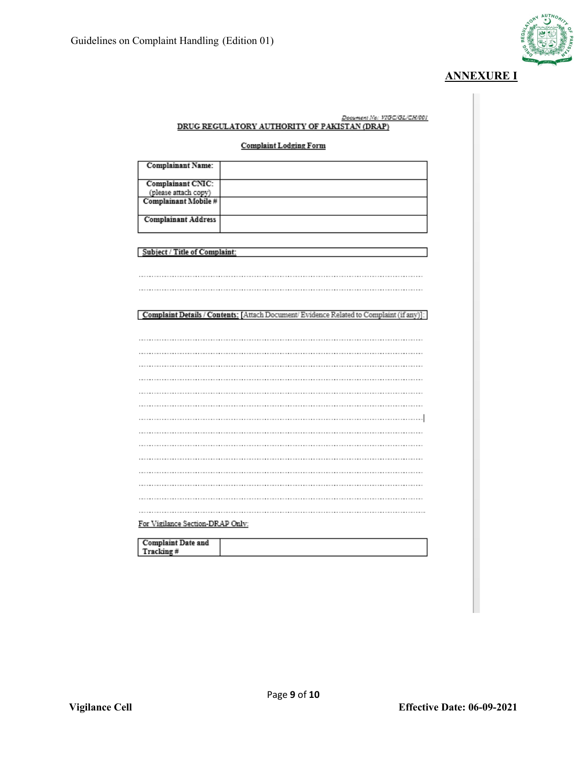

#### **ANNEXURE I**

| Document No: VIGC/GL/CH/001<br>DRUG REGULATORY AUTHORITY OF PAKISTAN (DRAP)             |  |  |  |  |
|-----------------------------------------------------------------------------------------|--|--|--|--|
|                                                                                         |  |  |  |  |
| <b>Complaint Lodging Form</b>                                                           |  |  |  |  |
|                                                                                         |  |  |  |  |
| <b>Complainant Name:</b>                                                                |  |  |  |  |
| Complainant CNIC:                                                                       |  |  |  |  |
| (please attach copy)                                                                    |  |  |  |  |
| Complainant Mobile #                                                                    |  |  |  |  |
|                                                                                         |  |  |  |  |
| <b>Complainant Address</b>                                                              |  |  |  |  |
|                                                                                         |  |  |  |  |
|                                                                                         |  |  |  |  |
| Subject / Title of Complaint:                                                           |  |  |  |  |
|                                                                                         |  |  |  |  |
|                                                                                         |  |  |  |  |
|                                                                                         |  |  |  |  |
|                                                                                         |  |  |  |  |
| Complaint Details / Contents: [Attach Document/Evidence Related to Complaint (if any)]: |  |  |  |  |
|                                                                                         |  |  |  |  |
|                                                                                         |  |  |  |  |
|                                                                                         |  |  |  |  |
|                                                                                         |  |  |  |  |
|                                                                                         |  |  |  |  |
|                                                                                         |  |  |  |  |
|                                                                                         |  |  |  |  |
|                                                                                         |  |  |  |  |
|                                                                                         |  |  |  |  |
|                                                                                         |  |  |  |  |
|                                                                                         |  |  |  |  |
|                                                                                         |  |  |  |  |
|                                                                                         |  |  |  |  |
|                                                                                         |  |  |  |  |
|                                                                                         |  |  |  |  |
|                                                                                         |  |  |  |  |
|                                                                                         |  |  |  |  |
| For Vigilance Section-DRAP Only:                                                        |  |  |  |  |
|                                                                                         |  |  |  |  |
| <b>Complaint Date and</b>                                                               |  |  |  |  |
| Tracking #                                                                              |  |  |  |  |